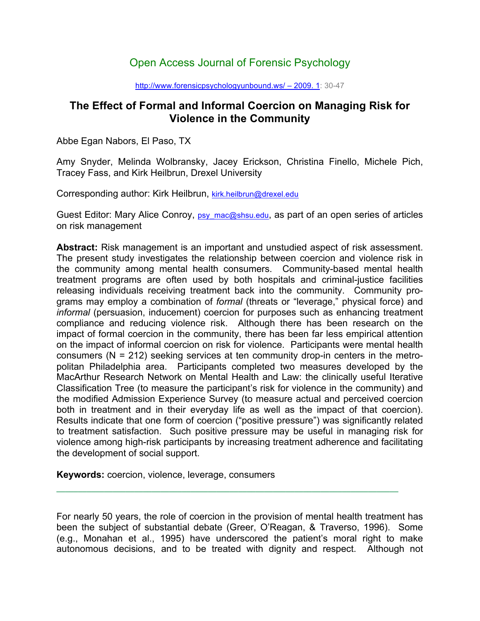# Open Access Journal of Forensic Psychology

#### http://www.forensicpsychologyunbound.ws/ – 2009. 1: 30-47

## **The Effect of Formal and Informal Coercion on Managing Risk for Violence in the Community**

Abbe Egan Nabors, El Paso, TX

Amy Snyder, Melinda Wolbransky, Jacey Erickson, Christina Finello, Michele Pich, Tracey Fass, and Kirk Heilbrun, Drexel University

Corresponding author: Kirk Heilbrun, kirk.heilbrun@drexel.edu

Guest Editor: Mary Alice Conroy, psy mac@shsu.edu, as part of an open series of articles on risk management

**Abstract:** Risk management is an important and unstudied aspect of risk assessment. The present study investigates the relationship between coercion and violence risk in the community among mental health consumers. Community-based mental health treatment programs are often used by both hospitals and criminal-justice facilities releasing individuals receiving treatment back into the community. Community programs may employ a combination of *formal* (threats or "leverage," physical force) and *informal* (persuasion, inducement) coercion for purposes such as enhancing treatment compliance and reducing violence risk. Although there has been research on the impact of formal coercion in the community, there has been far less empirical attention on the impact of informal coercion on risk for violence. Participants were mental health consumers (N = 212) seeking services at ten community drop-in centers in the metropolitan Philadelphia area. Participants completed two measures developed by the MacArthur Research Network on Mental Health and Law: the clinically useful Iterative Classification Tree (to measure the participant's risk for violence in the community) and the modified Admission Experience Survey (to measure actual and perceived coercion both in treatment and in their everyday life as well as the impact of that coercion). Results indicate that one form of coercion ("positive pressure") was significantly related to treatment satisfaction. Such positive pressure may be useful in managing risk for violence among high-risk participants by increasing treatment adherence and facilitating the development of social support.

**Keywords:** coercion, violence, leverage, consumers

For nearly 50 years, the role of coercion in the provision of mental health treatment has been the subject of substantial debate (Greer, O'Reagan, & Traverso, 1996). Some (e.g., Monahan et al., 1995) have underscored the patient's moral right to make autonomous decisions, and to be treated with dignity and respect. Although not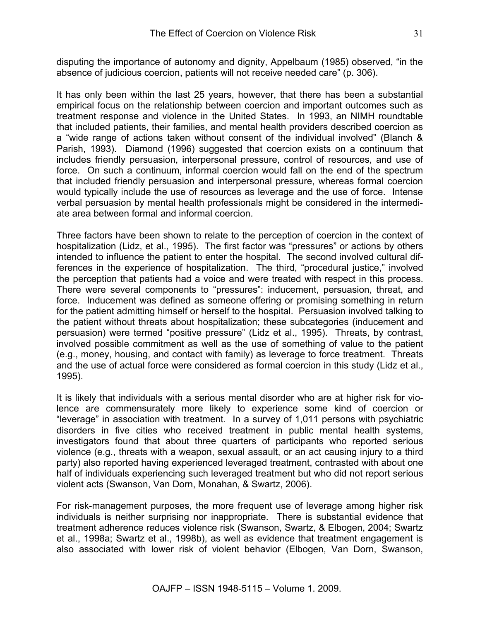disputing the importance of autonomy and dignity, Appelbaum (1985) observed, "in the absence of judicious coercion, patients will not receive needed care" (p. 306).

It has only been within the last 25 years, however, that there has been a substantial empirical focus on the relationship between coercion and important outcomes such as treatment response and violence in the United States. In 1993, an NIMH roundtable that included patients, their families, and mental health providers described coercion as a "wide range of actions taken without consent of the individual involved" (Blanch & Parish, 1993). Diamond (1996) suggested that coercion exists on a continuum that includes friendly persuasion, interpersonal pressure, control of resources, and use of force. On such a continuum, informal coercion would fall on the end of the spectrum that included friendly persuasion and interpersonal pressure, whereas formal coercion would typically include the use of resources as leverage and the use of force. Intense verbal persuasion by mental health professionals might be considered in the intermediate area between formal and informal coercion.

Three factors have been shown to relate to the perception of coercion in the context of hospitalization (Lidz, et al., 1995). The first factor was "pressures" or actions by others intended to influence the patient to enter the hospital. The second involved cultural differences in the experience of hospitalization. The third, "procedural justice," involved the perception that patients had a voice and were treated with respect in this process. There were several components to "pressures": inducement, persuasion, threat, and force. Inducement was defined as someone offering or promising something in return for the patient admitting himself or herself to the hospital. Persuasion involved talking to the patient without threats about hospitalization; these subcategories (inducement and persuasion) were termed "positive pressure" (Lidz et al., 1995). Threats, by contrast, involved possible commitment as well as the use of something of value to the patient (e.g., money, housing, and contact with family) as leverage to force treatment. Threats and the use of actual force were considered as formal coercion in this study (Lidz et al., 1995).

It is likely that individuals with a serious mental disorder who are at higher risk for violence are commensurately more likely to experience some kind of coercion or "leverage" in association with treatment. In a survey of 1,011 persons with psychiatric disorders in five cities who received treatment in public mental health systems, investigators found that about three quarters of participants who reported serious violence (e.g., threats with a weapon, sexual assault, or an act causing injury to a third party) also reported having experienced leveraged treatment, contrasted with about one half of individuals experiencing such leveraged treatment but who did not report serious violent acts (Swanson, Van Dorn, Monahan, & Swartz, 2006).

For risk-management purposes, the more frequent use of leverage among higher risk individuals is neither surprising nor inappropriate. There is substantial evidence that treatment adherence reduces violence risk (Swanson, Swartz, & Elbogen, 2004; Swartz et al., 1998a; Swartz et al., 1998b), as well as evidence that treatment engagement is also associated with lower risk of violent behavior (Elbogen, Van Dorn, Swanson,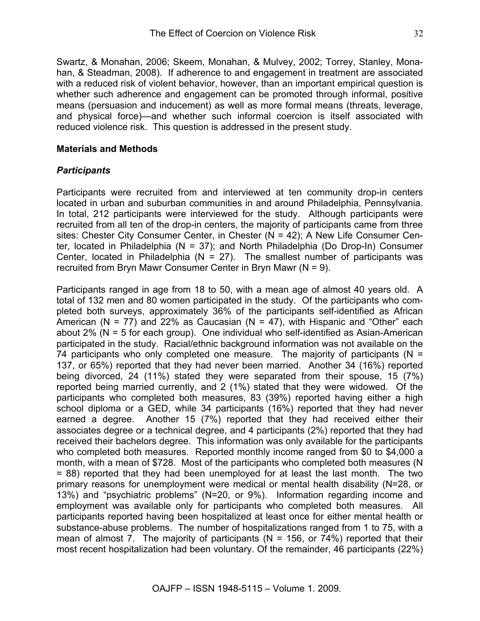Swartz, & Monahan, 2006; Skeem, Monahan, & Mulvey, 2002; Torrey, Stanley, Monahan, & Steadman, 2008). If adherence to and engagement in treatment are associated with a reduced risk of violent behavior, however, than an important empirical question is whether such adherence and engagement can be promoted through informal, positive means (persuasion and inducement) as well as more formal means (threats, leverage, and physical force)—and whether such informal coercion is itself associated with reduced violence risk. This question is addressed in the present study.

#### **Materials and Methods**

#### *Participants*

Participants were recruited from and interviewed at ten community drop-in centers located in urban and suburban communities in and around Philadelphia, Pennsylvania. In total, 212 participants were interviewed for the study. Although participants were recruited from all ten of the drop-in centers, the majority of participants came from three sites: Chester City Consumer Center, in Chester (N = 42); A New Life Consumer Center, located in Philadelphia (N = 37); and North Philadelphia (Do Drop-In) Consumer Center, located in Philadelphia (N = 27). The smallest number of participants was recruited from Bryn Mawr Consumer Center in Bryn Mawr (N = 9).

Participants ranged in age from 18 to 50, with a mean age of almost 40 years old. A total of 132 men and 80 women participated in the study. Of the participants who completed both surveys, approximately 36% of the participants self-identified as African American (N = 77) and 22% as Caucasian (N = 47), with Hispanic and "Other" each about 2% (N = 5 for each group). One individual who self-identified as Asian-American participated in the study. Racial/ethnic background information was not available on the 74 participants who only completed one measure. The majority of participants ( $N =$ 137, or 65%) reported that they had never been married. Another 34 (16%) reported being divorced, 24 (11%) stated they were separated from their spouse, 15 (7%) reported being married currently, and 2 (1%) stated that they were widowed. Of the participants who completed both measures, 83 (39%) reported having either a high school diploma or a GED, while 34 participants (16%) reported that they had never earned a degree. Another 15 (7%) reported that they had received either their associates degree or a technical degree, and 4 participants (2%) reported that they had received their bachelors degree. This information was only available for the participants who completed both measures. Reported monthly income ranged from \$0 to \$4,000 a month, with a mean of \$728. Most of the participants who completed both measures (N = 88) reported that they had been unemployed for at least the last month. The two primary reasons for unemployment were medical or mental health disability (N=28, or 13%) and "psychiatric problems" (N=20, or 9%). Information regarding income and employment was available only for participants who completed both measures. All participants reported having been hospitalized at least once for either mental health or substance-abuse problems. The number of hospitalizations ranged from 1 to 75, with a mean of almost 7. The majority of participants ( $N = 156$ , or 74%) reported that their most recent hospitalization had been voluntary. Of the remainder, 46 participants (22%)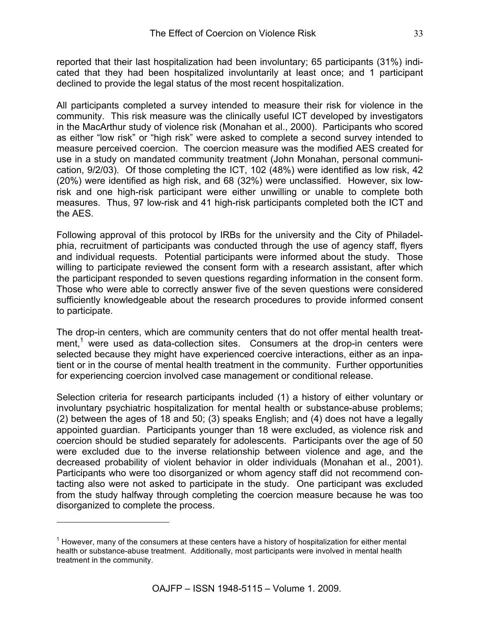reported that their last hospitalization had been involuntary; 65 participants (31%) indicated that they had been hospitalized involuntarily at least once; and 1 participant declined to provide the legal status of the most recent hospitalization.

All participants completed a survey intended to measure their risk for violence in the community. This risk measure was the clinically useful ICT developed by investigators in the MacArthur study of violence risk (Monahan et al., 2000). Participants who scored as either "low risk" or "high risk" were asked to complete a second survey intended to measure perceived coercion. The coercion measure was the modified AES created for use in a study on mandated community treatment (John Monahan, personal communication, 9/2/03). Of those completing the ICT, 102 (48%) were identified as low risk, 42 (20%) were identified as high risk, and 68 (32%) were unclassified. However, six lowrisk and one high-risk participant were either unwilling or unable to complete both measures. Thus, 97 low-risk and 41 high-risk participants completed both the ICT and the AES.

Following approval of this protocol by IRBs for the university and the City of Philadelphia, recruitment of participants was conducted through the use of agency staff, flyers and individual requests. Potential participants were informed about the study. Those willing to participate reviewed the consent form with a research assistant, after which the participant responded to seven questions regarding information in the consent form. Those who were able to correctly answer five of the seven questions were considered sufficiently knowledgeable about the research procedures to provide informed consent to participate.

The drop-in centers, which are community centers that do not offer mental health treatment,<sup>1</sup> were used as data-collection sites. Consumers at the drop-in centers were selected because they might have experienced coercive interactions, either as an inpatient or in the course of mental health treatment in the community. Further opportunities for experiencing coercion involved case management or conditional release.

Selection criteria for research participants included (1) a history of either voluntary or involuntary psychiatric hospitalization for mental health or substance-abuse problems; (2) between the ages of 18 and 50; (3) speaks English; and (4) does not have a legally appointed guardian. Participants younger than 18 were excluded, as violence risk and coercion should be studied separately for adolescents. Participants over the age of 50 were excluded due to the inverse relationship between violence and age, and the decreased probability of violent behavior in older individuals (Monahan et al., 2001). Participants who were too disorganized or whom agency staff did not recommend contacting also were not asked to participate in the study. One participant was excluded from the study halfway through completing the coercion measure because he was too disorganized to complete the process.

 $\overline{a}$ 

 $1$  However, many of the consumers at these centers have a history of hospitalization for either mental health or substance-abuse treatment. Additionally, most participants were involved in mental health treatment in the community.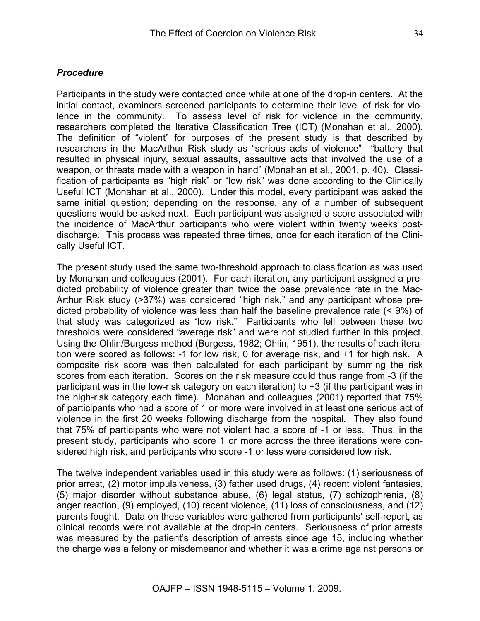### *Procedure*

Participants in the study were contacted once while at one of the drop-in centers. At the initial contact, examiners screened participants to determine their level of risk for violence in the community. To assess level of risk for violence in the community, researchers completed the Iterative Classification Tree (ICT) (Monahan et al., 2000). The definition of "violent" for purposes of the present study is that described by researchers in the MacArthur Risk study as "serious acts of violence"—"battery that resulted in physical injury, sexual assaults, assaultive acts that involved the use of a weapon, or threats made with a weapon in hand" (Monahan et al., 2001, p. 40). Classification of participants as "high risk" or "low risk" was done according to the Clinically Useful ICT (Monahan et al., 2000). Under this model, every participant was asked the same initial question; depending on the response, any of a number of subsequent questions would be asked next. Each participant was assigned a score associated with the incidence of MacArthur participants who were violent within twenty weeks postdischarge. This process was repeated three times, once for each iteration of the Clinically Useful ICT.

The present study used the same two-threshold approach to classification as was used by Monahan and colleagues (2001). For each iteration, any participant assigned a predicted probability of violence greater than twice the base prevalence rate in the Mac-Arthur Risk study (>37%) was considered "high risk," and any participant whose predicted probability of violence was less than half the baseline prevalence rate (< 9%) of that study was categorized as "low risk." Participants who fell between these two thresholds were considered "average risk" and were not studied further in this project. Using the Ohlin/Burgess method (Burgess, 1982; Ohlin, 1951), the results of each iteration were scored as follows: -1 for low risk, 0 for average risk, and +1 for high risk. A composite risk score was then calculated for each participant by summing the risk scores from each iteration. Scores on the risk measure could thus range from -3 (if the participant was in the low-risk category on each iteration) to +3 (if the participant was in the high-risk category each time). Monahan and colleagues (2001) reported that 75% of participants who had a score of 1 or more were involved in at least one serious act of violence in the first 20 weeks following discharge from the hospital. They also found that 75% of participants who were not violent had a score of -1 or less. Thus, in the present study, participants who score 1 or more across the three iterations were considered high risk, and participants who score -1 or less were considered low risk.

The twelve independent variables used in this study were as follows: (1) seriousness of prior arrest, (2) motor impulsiveness, (3) father used drugs, (4) recent violent fantasies, (5) major disorder without substance abuse, (6) legal status, (7) schizophrenia, (8) anger reaction, (9) employed, (10) recent violence, (11) loss of consciousness, and (12) parents fought. Data on these variables were gathered from participants' self-report, as clinical records were not available at the drop-in centers. Seriousness of prior arrests was measured by the patient's description of arrests since age 15, including whether the charge was a felony or misdemeanor and whether it was a crime against persons or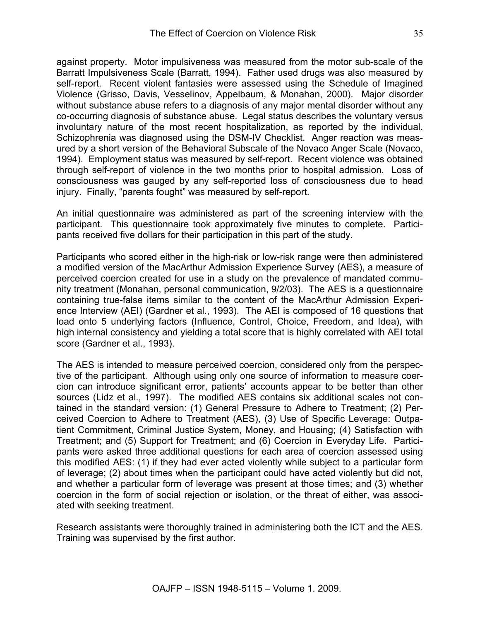against property. Motor impulsiveness was measured from the motor sub-scale of the Barratt Impulsiveness Scale (Barratt, 1994). Father used drugs was also measured by self-report. Recent violent fantasies were assessed using the Schedule of Imagined Violence (Grisso, Davis, Vesselinov, Appelbaum, & Monahan, 2000). Major disorder without substance abuse refers to a diagnosis of any major mental disorder without any co-occurring diagnosis of substance abuse. Legal status describes the voluntary versus involuntary nature of the most recent hospitalization, as reported by the individual. Schizophrenia was diagnosed using the DSM-IV Checklist. Anger reaction was measured by a short version of the Behavioral Subscale of the Novaco Anger Scale (Novaco, 1994). Employment status was measured by self-report. Recent violence was obtained through self-report of violence in the two months prior to hospital admission. Loss of consciousness was gauged by any self-reported loss of consciousness due to head injury. Finally, "parents fought" was measured by self-report.

An initial questionnaire was administered as part of the screening interview with the participant. This questionnaire took approximately five minutes to complete. Participants received five dollars for their participation in this part of the study.

Participants who scored either in the high-risk or low-risk range were then administered a modified version of the MacArthur Admission Experience Survey (AES), a measure of perceived coercion created for use in a study on the prevalence of mandated community treatment (Monahan, personal communication, 9/2/03). The AES is a questionnaire containing true-false items similar to the content of the MacArthur Admission Experience Interview (AEI) (Gardner et al., 1993). The AEI is composed of 16 questions that load onto 5 underlying factors (Influence, Control, Choice, Freedom, and Idea), with high internal consistency and yielding a total score that is highly correlated with AEI total score (Gardner et al., 1993).

The AES is intended to measure perceived coercion, considered only from the perspective of the participant. Although using only one source of information to measure coercion can introduce significant error, patients' accounts appear to be better than other sources (Lidz et al., 1997). The modified AES contains six additional scales not contained in the standard version: (1) General Pressure to Adhere to Treatment; (2) Perceived Coercion to Adhere to Treatment (AES), (3) Use of Specific Leverage: Outpatient Commitment, Criminal Justice System, Money, and Housing; (4) Satisfaction with Treatment; and (5) Support for Treatment; and (6) Coercion in Everyday Life. Participants were asked three additional questions for each area of coercion assessed using this modified AES: (1) if they had ever acted violently while subject to a particular form of leverage; (2) about times when the participant could have acted violently but did not, and whether a particular form of leverage was present at those times; and (3) whether coercion in the form of social rejection or isolation, or the threat of either, was associated with seeking treatment.

Research assistants were thoroughly trained in administering both the ICT and the AES. Training was supervised by the first author.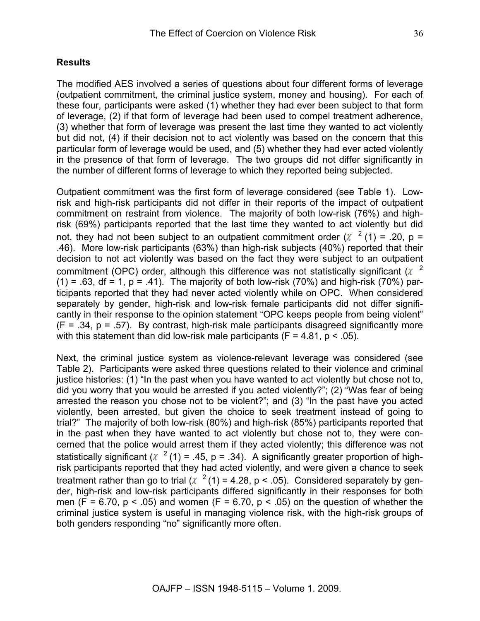### **Results**

The modified AES involved a series of questions about four different forms of leverage (outpatient commitment, the criminal justice system, money and housing). For each of these four, participants were asked (1) whether they had ever been subject to that form of leverage, (2) if that form of leverage had been used to compel treatment adherence, (3) whether that form of leverage was present the last time they wanted to act violently but did not, (4) if their decision not to act violently was based on the concern that this particular form of leverage would be used, and (5) whether they had ever acted violently in the presence of that form of leverage. The two groups did not differ significantly in the number of different forms of leverage to which they reported being subjected.

Outpatient commitment was the first form of leverage considered (see Table 1). Lowrisk and high-risk participants did not differ in their reports of the impact of outpatient commitment on restraint from violence. The majority of both low-risk (76%) and highrisk (69%) participants reported that the last time they wanted to act violently but did not, they had not been subject to an outpatient commitment order  $(\chi^2(1) = .20, p = .20)$ .46). More low-risk participants (63%) than high-risk subjects (40%) reported that their decision to not act violently was based on the fact they were subject to an outpatient commitment (OPC) order, although this difference was not statistically significant  $(X^2)$  $(1) = .63$ , df = 1, p = .41). The majority of both low-risk (70%) and high-risk (70%) participants reported that they had never acted violently while on OPC. When considered separately by gender, high-risk and low-risk female participants did not differ significantly in their response to the opinion statement "OPC keeps people from being violent"  $(F = .34, p = .57)$ . By contrast, high-risk male participants disagreed significantly more with this statement than did low-risk male participants ( $F = 4.81$ ,  $p < .05$ ).

Next, the criminal justice system as violence-relevant leverage was considered (see Table 2). Participants were asked three questions related to their violence and criminal justice histories: (1) "In the past when you have wanted to act violently but chose not to, did you worry that you would be arrested if you acted violently?"; (2) "Was fear of being arrested the reason you chose not to be violent?"; and (3) "In the past have you acted violently, been arrested, but given the choice to seek treatment instead of going to trial?" The majority of both low-risk (80%) and high-risk (85%) participants reported that in the past when they have wanted to act violently but chose not to, they were concerned that the police would arrest them if they acted violently; this difference was not statistically significant ( $\chi^2$  (1) = .45, p = .34). A significantly greater proportion of highrisk participants reported that they had acted violently, and were given a chance to seek treatment rather than go to trial ( $\chi^2$  (1) = 4.28, p < .05). Considered separately by gender, high-risk and low-risk participants differed significantly in their responses for both men ( $F = 6.70$ ,  $p < .05$ ) and women ( $F = 6.70$ ,  $p < .05$ ) on the question of whether the criminal justice system is useful in managing violence risk, with the high-risk groups of both genders responding "no" significantly more often.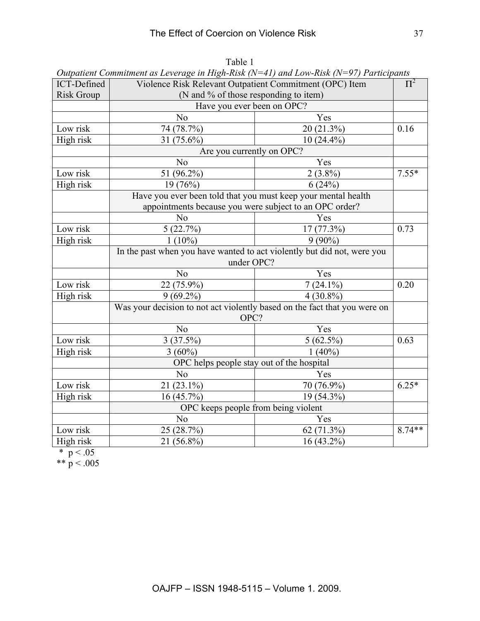| Violence Risk Relevant Outpatient Commitment (OPC) Item<br>(N and % of those responding to item)<br><b>Risk Group</b><br>Have you ever been on OPC?<br>N <sub>o</sub><br>Yes<br>0.16<br>74 (78.7%)<br>20(21.3%)<br>Low risk<br>31 (75.6%)<br>$10(24.4\%)$<br>High risk<br>Are you currently on OPC?<br>Yes<br>N <sub>0</sub><br>$2(3.8\%)$<br>51 (96.2%)<br>$7.55*$<br>Low risk<br>High risk<br>19(76%)<br>6(24%)<br>Have you ever been told that you must keep your mental health<br>appointments because you were subject to an OPC order?<br>N <sub>o</sub><br>Yes |
|-----------------------------------------------------------------------------------------------------------------------------------------------------------------------------------------------------------------------------------------------------------------------------------------------------------------------------------------------------------------------------------------------------------------------------------------------------------------------------------------------------------------------------------------------------------------------|
|                                                                                                                                                                                                                                                                                                                                                                                                                                                                                                                                                                       |
|                                                                                                                                                                                                                                                                                                                                                                                                                                                                                                                                                                       |
|                                                                                                                                                                                                                                                                                                                                                                                                                                                                                                                                                                       |
|                                                                                                                                                                                                                                                                                                                                                                                                                                                                                                                                                                       |
|                                                                                                                                                                                                                                                                                                                                                                                                                                                                                                                                                                       |
|                                                                                                                                                                                                                                                                                                                                                                                                                                                                                                                                                                       |
|                                                                                                                                                                                                                                                                                                                                                                                                                                                                                                                                                                       |
|                                                                                                                                                                                                                                                                                                                                                                                                                                                                                                                                                                       |
|                                                                                                                                                                                                                                                                                                                                                                                                                                                                                                                                                                       |
|                                                                                                                                                                                                                                                                                                                                                                                                                                                                                                                                                                       |
|                                                                                                                                                                                                                                                                                                                                                                                                                                                                                                                                                                       |
|                                                                                                                                                                                                                                                                                                                                                                                                                                                                                                                                                                       |
| Low risk<br>17 (77.3%)<br>0.73<br>5(22.7%)                                                                                                                                                                                                                                                                                                                                                                                                                                                                                                                            |
| High risk<br>$1(10\%)$<br>$9(90\%)$                                                                                                                                                                                                                                                                                                                                                                                                                                                                                                                                   |
| In the past when you have wanted to act violently but did not, were you                                                                                                                                                                                                                                                                                                                                                                                                                                                                                               |
| under OPC?                                                                                                                                                                                                                                                                                                                                                                                                                                                                                                                                                            |
| N <sub>o</sub><br>Yes                                                                                                                                                                                                                                                                                                                                                                                                                                                                                                                                                 |
| Low risk<br>0.20<br>22 (75.9%)<br>$7(24.1\%)$                                                                                                                                                                                                                                                                                                                                                                                                                                                                                                                         |
| High risk<br>$9(69.2\%)$<br>$4(30.8\%)$                                                                                                                                                                                                                                                                                                                                                                                                                                                                                                                               |
| Was your decision to not act violently based on the fact that you were on                                                                                                                                                                                                                                                                                                                                                                                                                                                                                             |
| OPC?                                                                                                                                                                                                                                                                                                                                                                                                                                                                                                                                                                  |
| N <sub>o</sub><br>Yes                                                                                                                                                                                                                                                                                                                                                                                                                                                                                                                                                 |
| Low risk<br>$5(62.5\%)$<br>3(37.5%)<br>0.63                                                                                                                                                                                                                                                                                                                                                                                                                                                                                                                           |
| High risk<br>$3(60\%)$<br>$1(40\%)$                                                                                                                                                                                                                                                                                                                                                                                                                                                                                                                                   |
| OPC helps people stay out of the hospital                                                                                                                                                                                                                                                                                                                                                                                                                                                                                                                             |
| N <sub>0</sub><br>Yes                                                                                                                                                                                                                                                                                                                                                                                                                                                                                                                                                 |
| Low risk<br>$6.25*$<br>21 (23.1%)<br>70 (76.9%)                                                                                                                                                                                                                                                                                                                                                                                                                                                                                                                       |
| High risk<br>16(45.7%)<br>19 (54.3%)                                                                                                                                                                                                                                                                                                                                                                                                                                                                                                                                  |
| OPC keeps people from being violent                                                                                                                                                                                                                                                                                                                                                                                                                                                                                                                                   |
| N <sub>o</sub><br>Yes                                                                                                                                                                                                                                                                                                                                                                                                                                                                                                                                                 |
| $8.74**$<br>Low risk<br>25 (28.7%)<br>62 (71.3%)                                                                                                                                                                                                                                                                                                                                                                                                                                                                                                                      |
| High risk<br>21 (56.8%)<br>$16(43.2\%)$                                                                                                                                                                                                                                                                                                                                                                                                                                                                                                                               |

Table 1 *Outpatient Commitment as Leverage in High-Risk (N=41) and Low-Risk (N=97) Participants*

\*  $p < .05$ 

\*\*  $p < .005$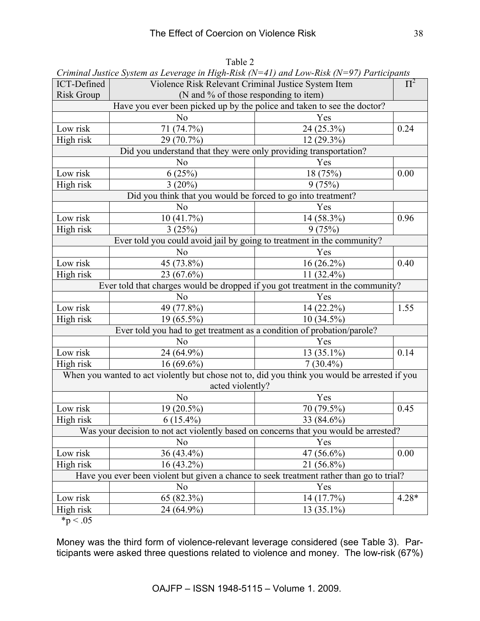|                                                                         | Criminal Justice System as Leverage in High-Risk ( $N=41$ ) and LOW-Risk ( $N=97$ ) Participanis |              |         |  |  |  |
|-------------------------------------------------------------------------|--------------------------------------------------------------------------------------------------|--------------|---------|--|--|--|
| ICT-Defined                                                             | $\Pi^2$<br>Violence Risk Relevant Criminal Justice System Item                                   |              |         |  |  |  |
| <b>Risk Group</b>                                                       | (N and % of those responding to item)                                                            |              |         |  |  |  |
| Have you ever been picked up by the police and taken to see the doctor? |                                                                                                  |              |         |  |  |  |
|                                                                         | N <sub>0</sub>                                                                                   | Yes          |         |  |  |  |
| Low risk                                                                | 71 (74.7%)                                                                                       | 24 (25.3%)   | 0.24    |  |  |  |
| High risk                                                               | 29 (70.7%)                                                                                       | $12(29.3\%)$ |         |  |  |  |
| Did you understand that they were only providing transportation?        |                                                                                                  |              |         |  |  |  |
|                                                                         | N <sub>o</sub>                                                                                   | Yes          |         |  |  |  |
| Low risk                                                                | 6(25%)                                                                                           | 18 (75%)     | 0.00    |  |  |  |
| High risk                                                               | $3(20\%)$                                                                                        | 9(75%)       |         |  |  |  |
|                                                                         | Did you think that you would be forced to go into treatment?                                     |              |         |  |  |  |
|                                                                         | N <sub>o</sub>                                                                                   | Yes          |         |  |  |  |
| Low risk                                                                | 10(41.7%)                                                                                        | 14 (58.3%)   | 0.96    |  |  |  |
| High risk                                                               | 3(25%)                                                                                           | 9(75%)       |         |  |  |  |
|                                                                         | Ever told you could avoid jail by going to treatment in the community?                           |              |         |  |  |  |
|                                                                         | N <sub>o</sub>                                                                                   | Yes          |         |  |  |  |
| Low risk                                                                | 45 (73.8%)                                                                                       | $16(26.2\%)$ | 0.40    |  |  |  |
| High risk                                                               | 23 (67.6%)                                                                                       | 11 (32.4%)   |         |  |  |  |
|                                                                         | Ever told that charges would be dropped if you got treatment in the community?                   |              |         |  |  |  |
|                                                                         | N <sub>o</sub>                                                                                   | Yes          |         |  |  |  |
| Low risk                                                                | 49 (77.8%)                                                                                       | 14 (22.2%)   | 1.55    |  |  |  |
| High risk                                                               | $19(65.5\%)$                                                                                     | $10(34.5\%)$ |         |  |  |  |
|                                                                         | Ever told you had to get treatment as a condition of probation/parole?                           |              |         |  |  |  |
|                                                                         | No                                                                                               | Yes          |         |  |  |  |
| Low risk                                                                | 24 (64.9%)                                                                                       | $13(35.1\%)$ | 0.14    |  |  |  |
| High risk                                                               | $16(69.6\%)$                                                                                     | $7(30.4\%)$  |         |  |  |  |
|                                                                         | When you wanted to act violently but chose not to, did you think you would be arrested if you    |              |         |  |  |  |
|                                                                         | acted violently?                                                                                 |              |         |  |  |  |
|                                                                         | N <sub>o</sub>                                                                                   | Yes          |         |  |  |  |
| Low risk                                                                | 19 (20.5%)                                                                                       | 70 (79.5%)   | 0.45    |  |  |  |
| High risk                                                               | $6(15.4\%)$                                                                                      | 33 (84.6%)   |         |  |  |  |
|                                                                         | Was your decision to not act violently based on concerns that you would be arrested?             |              |         |  |  |  |
|                                                                         | N <sub>o</sub>                                                                                   | Yes          |         |  |  |  |
| Low risk                                                                | 36 (43.4%)                                                                                       | 47 (56.6%)   | 0.00    |  |  |  |
| High risk                                                               | $16(43.2\%)$                                                                                     | 21 (56.8%)   |         |  |  |  |
|                                                                         | Have you ever been violent but given a chance to seek treatment rather than go to trial?         |              |         |  |  |  |
|                                                                         | N <sub>0</sub>                                                                                   | Yes          |         |  |  |  |
| Low risk                                                                | 65 (82.3%)                                                                                       | 14 (17.7%)   | $4.28*$ |  |  |  |
| High risk                                                               | 24 (64.9%)                                                                                       | 13 (35.1%)   |         |  |  |  |
|                                                                         |                                                                                                  |              |         |  |  |  |

Table 2 *Criminal Justice System as Leverage in High-Risk (N=41) and Low-Risk (N=97) Participants*

 $*p < .05$ 

Money was the third form of violence-relevant leverage considered (see Table 3). Participants were asked three questions related to violence and money. The low-risk (67%)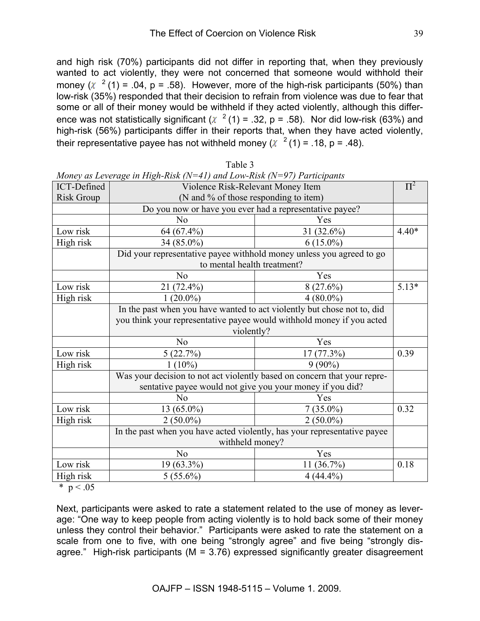and high risk (70%) participants did not differ in reporting that, when they previously wanted to act violently, they were not concerned that someone would withhold their money ( $\chi$  <sup>2</sup> (1) = .04, p = .58). However, more of the high-risk participants (50%) than low-risk (35%) responded that their decision to refrain from violence was due to fear that some or all of their money would be withheld if they acted violently, although this difference was not statistically significant ( $\chi^2$  (1) = .32, p = .58). Nor did low-risk (63%) and high-risk (56%) participants differ in their reports that, when they have acted violently, their representative payee has not withheld money ( $\chi^2$  (1) = .18, p = .48).

|                   | $m$ oney as Leverage in High-Kisk (IV $-$ 41) and Low-Kisk (IV $-$ 27) Earticipants |               |         |  |
|-------------------|-------------------------------------------------------------------------------------|---------------|---------|--|
| ICT-Defined       | Violence Risk-Relevant Money Item                                                   |               | $\Pi^2$ |  |
| <b>Risk Group</b> | (N and % of those responding to item)                                               |               |         |  |
|                   | Do you now or have you ever had a representative payee?                             |               |         |  |
|                   | N <sub>o</sub>                                                                      | Yes           |         |  |
| Low risk          | 64 (67.4%)                                                                          | 31 $(32.6\%)$ | $4.40*$ |  |
| High risk         | 34 (85.0%)                                                                          | $6(15.0\%)$   |         |  |
|                   | Did your representative payee withhold money unless you agreed to go                |               |         |  |
|                   | to mental health treatment?                                                         |               |         |  |
|                   | No                                                                                  | Yes           |         |  |
| Low risk          | 21 (72.4%)                                                                          | 8(27.6%)      | $5.13*$ |  |
| High risk         | $1(20.0\%)$                                                                         | $4(80.0\%)$   |         |  |
|                   | In the past when you have wanted to act violently but chose not to, did             |               |         |  |
|                   | you think your representative payee would withhold money if you acted<br>violently? |               |         |  |
|                   |                                                                                     |               |         |  |
|                   | N <sub>0</sub>                                                                      | Yes           |         |  |
| Low risk          | 5(22.7%)                                                                            | 17 (77.3%)    | 0.39    |  |
| High risk         | $1(10\%)$                                                                           | $9(90\%)$     |         |  |
|                   | Was your decision to not act violently based on concern that your repre-            |               |         |  |
|                   | sentative payee would not give you your money if you did?                           |               |         |  |
|                   | No                                                                                  | Yes           |         |  |
| Low risk          | $13(65.0\%)$                                                                        | $7(35.0\%)$   | 0.32    |  |
| High risk         | $2(50.0\%)$                                                                         | $2(50.0\%)$   |         |  |
|                   | In the past when you have acted violently, has your representative payee            |               |         |  |
|                   | withheld money?                                                                     |               |         |  |
|                   | No                                                                                  | Yes           |         |  |
| Low risk          | 19 (63.3%)                                                                          | $11(36.7\%)$  | 0.18    |  |
| High risk         | $5(55.6\%)$                                                                         | $4(44.4\%)$   |         |  |

Table 3 *Money as Leverage in High-Risk (N=41) and Low-Risk (N=97) Participants*

\*  $p < .05$ 

Next, participants were asked to rate a statement related to the use of money as leverage: "One way to keep people from acting violently is to hold back some of their money unless they control their behavior." Participants were asked to rate the statement on a scale from one to five, with one being "strongly agree" and five being "strongly disagree." High-risk participants (M = 3.76) expressed significantly greater disagreement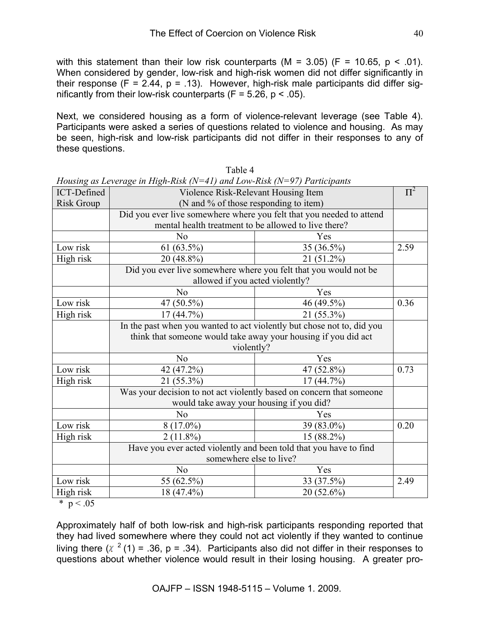with this statement than their low risk counterparts (M = 3.05) (F = 10.65,  $p < .01$ ). When considered by gender, low-risk and high-risk women did not differ significantly in their response (F = 2.44, p = .13). However, high-risk male participants did differ significantly from their low-risk counterparts ( $F = 5.26$ ,  $p < .05$ ).

Next, we considered housing as a form of violence-relevant leverage (see Table 4). Participants were asked a series of questions related to violence and housing. As may be seen, high-risk and low-risk participants did not differ in their responses to any of these questions.

|                   | Housing as Leverage in High-Kisk (N=41) and Low-Kisk (N=97) Participanis |            |         |
|-------------------|--------------------------------------------------------------------------|------------|---------|
| ICT-Defined       | Violence Risk-Relevant Housing Item                                      |            | $\Pi^2$ |
| <b>Risk Group</b> | (N and % of those responding to item)                                    |            |         |
|                   | Did you ever live somewhere where you felt that you needed to attend     |            |         |
|                   | mental health treatment to be allowed to live there?                     |            |         |
|                   | N <sub>0</sub>                                                           | Yes        |         |
| Low risk          | 61 $(63.5\%)$                                                            | 35 (36.5%) | 2.59    |
| High risk         | 20 (48.8%)                                                               | 21 (51.2%) |         |
|                   | Did you ever live somewhere where you felt that you would not be         |            |         |
|                   | allowed if you acted violently?                                          |            |         |
|                   | N <sub>0</sub>                                                           | Yes        |         |
| Low risk          | 47 (50.5%)                                                               | 46 (49.5%) | 0.36    |
| High risk         | 17(44.7%)                                                                | 21 (55.3%) |         |
|                   | In the past when you wanted to act violently but chose not to, did you   |            |         |
|                   | think that someone would take away your housing if you did act           |            |         |
|                   | violently?                                                               |            |         |
|                   | N <sub>0</sub>                                                           | Yes        |         |
| Low risk          | 42 (47.2%)                                                               | 47 (52.8%) | 0.73    |
| High risk         | $21(55.3\%)$                                                             | 17(44.7%)  |         |
|                   | Was your decision to not act violently based on concern that someone     |            |         |
|                   | would take away your housing if you did?                                 |            |         |
|                   | No                                                                       | Yes        |         |
| Low risk          | $8(17.0\%)$                                                              | 39 (83.0%) | 0.20    |
| High risk         | $2(11.8\%)$                                                              | 15 (88.2%) |         |
|                   | Have you ever acted violently and been told that you have to find        |            |         |
|                   | somewhere else to live?                                                  |            |         |
|                   | N <sub>o</sub>                                                           | Yes        |         |
| Low risk          | 55 (62.5%)                                                               | 33 (37.5%) | 2.49    |
| High risk         | $18(47.4\%)$                                                             | 20 (52.6%) |         |

Table 4 *Housing as Leverage in High-Risk (N=41) and Low-Risk (N=97) Participants*

\*  $p < .05$ 

Approximately half of both low-risk and high-risk participants responding reported that they had lived somewhere where they could not act violently if they wanted to continue living there ( $\chi^2$  (1) = .36, p = .34). Participants also did not differ in their responses to questions about whether violence would result in their losing housing. A greater pro-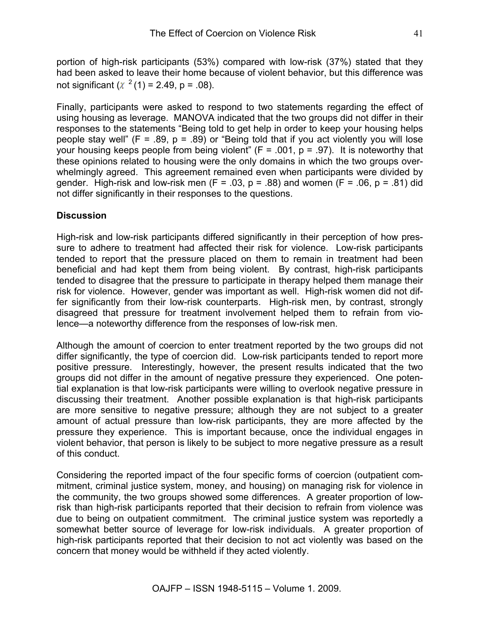portion of high-risk participants (53%) compared with low-risk (37%) stated that they had been asked to leave their home because of violent behavior, but this difference was not significant ( $\chi^2$  (1) = 2.49, p = .08).

Finally, participants were asked to respond to two statements regarding the effect of using housing as leverage. MANOVA indicated that the two groups did not differ in their responses to the statements "Being told to get help in order to keep your housing helps people stay well" ( $F = .89$ ,  $p = .89$ ) or "Being told that if you act violently you will lose your housing keeps people from being violent" ( $F = .001$ ,  $p = .97$ ). It is noteworthy that these opinions related to housing were the only domains in which the two groups overwhelmingly agreed. This agreement remained even when participants were divided by gender. High-risk and low-risk men  $(F = .03, p = .88)$  and women  $(F = .06, p = .81)$  did not differ significantly in their responses to the questions.

### **Discussion**

High-risk and low-risk participants differed significantly in their perception of how pressure to adhere to treatment had affected their risk for violence. Low-risk participants tended to report that the pressure placed on them to remain in treatment had been beneficial and had kept them from being violent. By contrast, high-risk participants tended to disagree that the pressure to participate in therapy helped them manage their risk for violence. However, gender was important as well. High-risk women did not differ significantly from their low-risk counterparts. High-risk men, by contrast, strongly disagreed that pressure for treatment involvement helped them to refrain from violence—a noteworthy difference from the responses of low-risk men.

Although the amount of coercion to enter treatment reported by the two groups did not differ significantly, the type of coercion did. Low-risk participants tended to report more positive pressure. Interestingly, however, the present results indicated that the two groups did not differ in the amount of negative pressure they experienced. One potential explanation is that low-risk participants were willing to overlook negative pressure in discussing their treatment. Another possible explanation is that high-risk participants are more sensitive to negative pressure; although they are not subject to a greater amount of actual pressure than low-risk participants, they are more affected by the pressure they experience. This is important because, once the individual engages in violent behavior, that person is likely to be subject to more negative pressure as a result of this conduct.

Considering the reported impact of the four specific forms of coercion (outpatient commitment, criminal justice system, money, and housing) on managing risk for violence in the community, the two groups showed some differences. A greater proportion of lowrisk than high-risk participants reported that their decision to refrain from violence was due to being on outpatient commitment. The criminal justice system was reportedly a somewhat better source of leverage for low-risk individuals. A greater proportion of high-risk participants reported that their decision to not act violently was based on the concern that money would be withheld if they acted violently.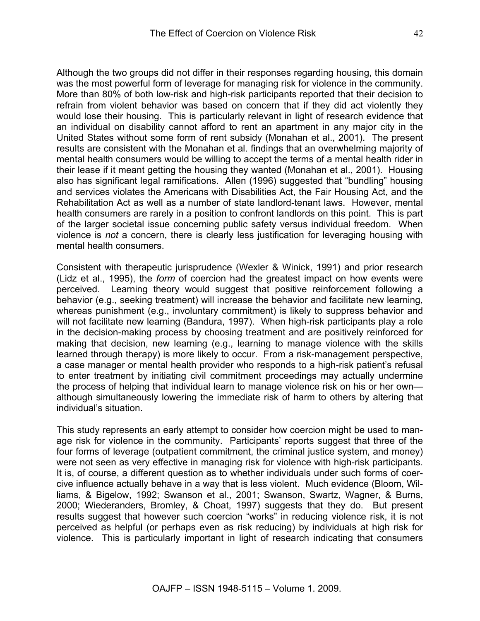Although the two groups did not differ in their responses regarding housing, this domain was the most powerful form of leverage for managing risk for violence in the community. More than 80% of both low-risk and high-risk participants reported that their decision to refrain from violent behavior was based on concern that if they did act violently they would lose their housing. This is particularly relevant in light of research evidence that an individual on disability cannot afford to rent an apartment in any major city in the United States without some form of rent subsidy (Monahan et al., 2001). The present results are consistent with the Monahan et al. findings that an overwhelming majority of mental health consumers would be willing to accept the terms of a mental health rider in their lease if it meant getting the housing they wanted (Monahan et al., 2001). Housing also has significant legal ramifications. Allen (1996) suggested that "bundling" housing and services violates the Americans with Disabilities Act, the Fair Housing Act, and the Rehabilitation Act as well as a number of state landlord-tenant laws. However, mental health consumers are rarely in a position to confront landlords on this point. This is part of the larger societal issue concerning public safety versus individual freedom. When violence is *not* a concern, there is clearly less justification for leveraging housing with mental health consumers.

Consistent with therapeutic jurisprudence (Wexler & Winick, 1991) and prior research (Lidz et al., 1995), the *form* of coercion had the greatest impact on how events were perceived. Learning theory would suggest that positive reinforcement following a behavior (e.g., seeking treatment) will increase the behavior and facilitate new learning, whereas punishment (e.g., involuntary commitment) is likely to suppress behavior and will not facilitate new learning (Bandura, 1997). When high-risk participants play a role in the decision-making process by choosing treatment and are positively reinforced for making that decision, new learning (e.g., learning to manage violence with the skills learned through therapy) is more likely to occur. From a risk-management perspective, a case manager or mental health provider who responds to a high-risk patient's refusal to enter treatment by initiating civil commitment proceedings may actually undermine the process of helping that individual learn to manage violence risk on his or her own although simultaneously lowering the immediate risk of harm to others by altering that individual's situation.

This study represents an early attempt to consider how coercion might be used to manage risk for violence in the community. Participants' reports suggest that three of the four forms of leverage (outpatient commitment, the criminal justice system, and money) were not seen as very effective in managing risk for violence with high-risk participants. It is, of course, a different question as to whether individuals under such forms of coercive influence actually behave in a way that is less violent. Much evidence (Bloom, Williams, & Bigelow, 1992; Swanson et al., 2001; Swanson, Swartz, Wagner, & Burns, 2000; Wiederanders, Bromley, & Choat, 1997) suggests that they do. But present results suggest that however such coercion "works" in reducing violence risk, it is not perceived as helpful (or perhaps even as risk reducing) by individuals at high risk for violence. This is particularly important in light of research indicating that consumers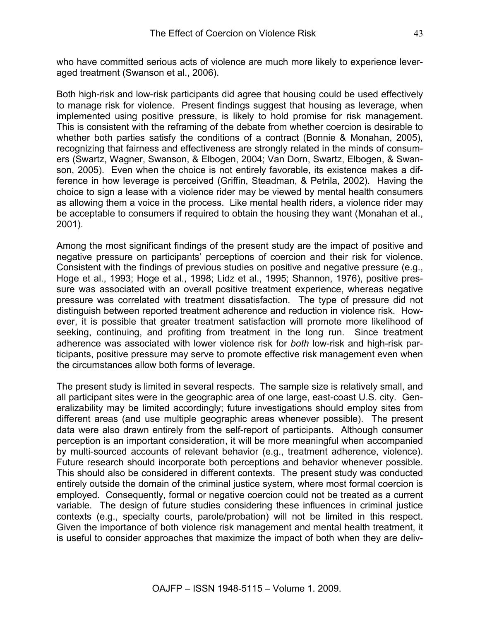who have committed serious acts of violence are much more likely to experience leveraged treatment (Swanson et al., 2006).

Both high-risk and low-risk participants did agree that housing could be used effectively to manage risk for violence. Present findings suggest that housing as leverage, when implemented using positive pressure, is likely to hold promise for risk management. This is consistent with the reframing of the debate from whether coercion is desirable to whether both parties satisfy the conditions of a contract (Bonnie & Monahan, 2005), recognizing that fairness and effectiveness are strongly related in the minds of consumers (Swartz, Wagner, Swanson, & Elbogen, 2004; Van Dorn, Swartz, Elbogen, & Swanson, 2005). Even when the choice is not entirely favorable, its existence makes a difference in how leverage is perceived (Griffin, Steadman, & Petrila, 2002). Having the choice to sign a lease with a violence rider may be viewed by mental health consumers as allowing them a voice in the process. Like mental health riders, a violence rider may be acceptable to consumers if required to obtain the housing they want (Monahan et al., 2001).

Among the most significant findings of the present study are the impact of positive and negative pressure on participants' perceptions of coercion and their risk for violence. Consistent with the findings of previous studies on positive and negative pressure (e.g., Hoge et al., 1993; Hoge et al., 1998; Lidz et al., 1995; Shannon, 1976), positive pressure was associated with an overall positive treatment experience, whereas negative pressure was correlated with treatment dissatisfaction. The type of pressure did not distinguish between reported treatment adherence and reduction in violence risk. However, it is possible that greater treatment satisfaction will promote more likelihood of seeking, continuing, and profiting from treatment in the long run. Since treatment adherence was associated with lower violence risk for *both* low-risk and high-risk participants, positive pressure may serve to promote effective risk management even when the circumstances allow both forms of leverage.

The present study is limited in several respects. The sample size is relatively small, and all participant sites were in the geographic area of one large, east-coast U.S. city. Generalizability may be limited accordingly; future investigations should employ sites from different areas (and use multiple geographic areas whenever possible). The present data were also drawn entirely from the self-report of participants. Although consumer perception is an important consideration, it will be more meaningful when accompanied by multi-sourced accounts of relevant behavior (e.g., treatment adherence, violence). Future research should incorporate both perceptions and behavior whenever possible. This should also be considered in different contexts. The present study was conducted entirely outside the domain of the criminal justice system, where most formal coercion is employed. Consequently, formal or negative coercion could not be treated as a current variable. The design of future studies considering these influences in criminal justice contexts (e.g., specialty courts, parole/probation) will not be limited in this respect. Given the importance of both violence risk management and mental health treatment, it is useful to consider approaches that maximize the impact of both when they are deliv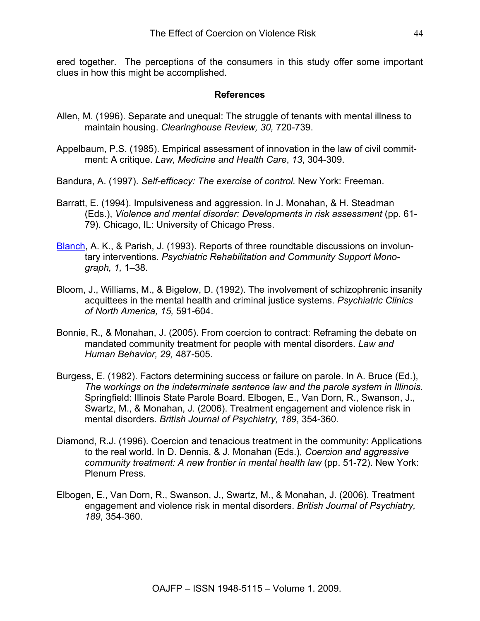ered together. The perceptions of the consumers in this study offer some important clues in how this might be accomplished.

#### **References**

- Allen, M. (1996). Separate and unequal: The struggle of tenants with mental illness to maintain housing. *Clearinghouse Review, 30,* 720-739.
- Appelbaum, P.S. (1985). Empirical assessment of innovation in the law of civil commitment: A critique. *Law, Medicine and Health Care*, *13*, 304-309.
- Bandura, A. (1997). *Self-efficacy: The exercise of control.* New York: Freeman.
- Barratt, E. (1994). Impulsiveness and aggression. In J. Monahan, & H. Steadman (Eds.), *Violence and mental disorder: Developments in risk assessment* (pp. 61- 79). Chicago, IL: University of Chicago Press.
- Blanch, A. K., & Parish, J. (1993). Reports of three roundtable discussions on involuntary interventions. *Psychiatric Rehabilitation and Community Support Monograph, 1,* 1–38.
- Bloom, J., Williams, M., & Bigelow, D. (1992). The involvement of schizophrenic insanity acquittees in the mental health and criminal justice systems. *Psychiatric Clinics of North America, 15,* 591-604.
- Bonnie, R., & Monahan, J. (2005). From coercion to contract: Reframing the debate on mandated community treatment for people with mental disorders. *Law and Human Behavior, 29,* 487-505.
- Burgess, E. (1982). Factors determining success or failure on parole. In A. Bruce (Ed.), *The workings on the indeterminate sentence law and the parole system in Illinois.*  Springfield: Illinois State Parole Board. Elbogen, E., Van Dorn, R., Swanson, J., Swartz, M., & Monahan, J. (2006). Treatment engagement and violence risk in mental disorders. *British Journal of Psychiatry, 189*, 354-360.
- Diamond, R.J. (1996). Coercion and tenacious treatment in the community: Applications to the real world. In D. Dennis, & J. Monahan (Eds.), *Coercion and aggressive community treatment: A new frontier in mental health law* (pp. 51-72). New York: Plenum Press.
- Elbogen, E., Van Dorn, R., Swanson, J., Swartz, M., & Monahan, J. (2006). Treatment engagement and violence risk in mental disorders. *British Journal of Psychiatry, 189*, 354-360.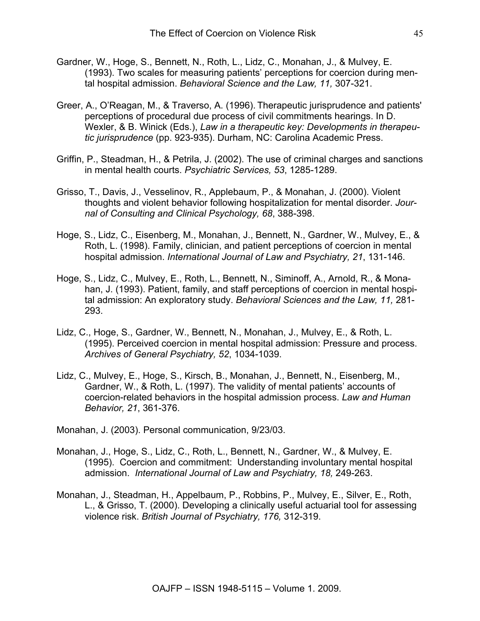- Gardner, W., Hoge, S., Bennett, N., Roth, L., Lidz, C., Monahan, J., & Mulvey, E. (1993). Two scales for measuring patients' perceptions for coercion during mental hospital admission. *Behavioral Science and the Law, 11,* 307-321.
- Greer, A., O'Reagan, M., & Traverso, A. (1996). Therapeutic jurisprudence and patients' perceptions of procedural due process of civil commitments hearings. In D. Wexler, & B. Winick (Eds.), *Law in a therapeutic key: Developments in therapeutic jurisprudence* (pp. 923-935). Durham, NC: Carolina Academic Press.
- Griffin, P., Steadman, H., & Petrila, J. (2002). The use of criminal charges and sanctions in mental health courts. *Psychiatric Services, 53*, 1285-1289.
- Grisso, T., Davis, J., Vesselinov, R., Applebaum, P., & Monahan, J. (2000). Violent thoughts and violent behavior following hospitalization for mental disorder. *Journal of Consulting and Clinical Psychology, 68*, 388-398.
- Hoge, S., Lidz, C., Eisenberg, M., Monahan, J., Bennett, N., Gardner, W., Mulvey, E., & Roth, L. (1998). Family, clinician, and patient perceptions of coercion in mental hospital admission. *International Journal of Law and Psychiatry, 21*, 131-146.
- Hoge, S., Lidz, C., Mulvey, E., Roth, L., Bennett, N., Siminoff, A., Arnold, R., & Monahan, J. (1993). Patient, family, and staff perceptions of coercion in mental hospital admission: An exploratory study. *Behavioral Sciences and the Law, 11,* 281- 293.
- Lidz, C., Hoge, S., Gardner, W., Bennett, N., Monahan, J., Mulvey, E., & Roth, L. (1995). Perceived coercion in mental hospital admission: Pressure and process. *Archives of General Psychiatry, 52*, 1034-1039.
- Lidz, C., Mulvey, E., Hoge, S., Kirsch, B., Monahan, J., Bennett, N., Eisenberg, M., Gardner, W., & Roth, L. (1997). The validity of mental patients' accounts of coercion-related behaviors in the hospital admission process. *Law and Human Behavior, 21*, 361-376.
- Monahan, J. (2003). Personal communication, 9/23/03.
- Monahan, J., Hoge, S., Lidz, C., Roth, L., Bennett, N., Gardner, W., & Mulvey, E. (1995). Coercion and commitment: Understanding involuntary mental hospital admission. *International Journal of Law and Psychiatry, 18,* 249-263.
- Monahan, J., Steadman, H., Appelbaum, P., Robbins, P., Mulvey, E., Silver, E., Roth, L., & Grisso, T. (2000). Developing a clinically useful actuarial tool for assessing violence risk. *British Journal of Psychiatry, 176,* 312-319.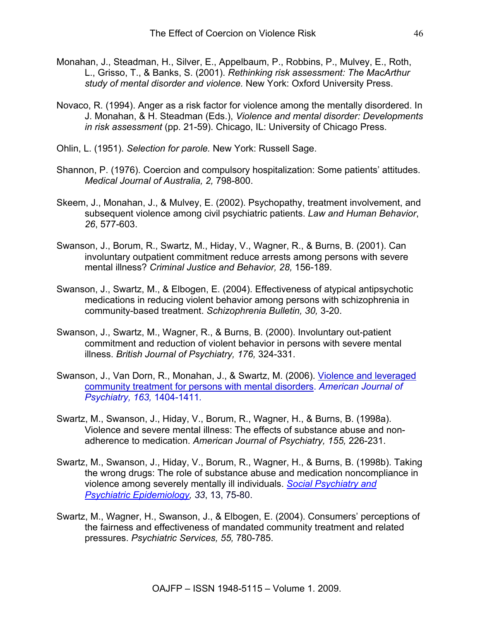- Monahan, J., Steadman, H., Silver, E., Appelbaum, P., Robbins, P., Mulvey, E., Roth, L., Grisso, T., & Banks, S. (2001). *Rethinking risk assessment: The MacArthur study of mental disorder and violence.* New York: Oxford University Press.
- Novaco, R. (1994). Anger as a risk factor for violence among the mentally disordered. In J. Monahan, & H. Steadman (Eds.), *Violence and mental disorder: Developments in risk assessment* (pp. 21-59). Chicago, IL: University of Chicago Press.
- Ohlin, L. (1951). *Selection for parole.* New York: Russell Sage.
- Shannon, P. (1976). Coercion and compulsory hospitalization: Some patients' attitudes. *Medical Journal of Australia, 2,* 798-800.
- Skeem, J., Monahan, J., & Mulvey, E. (2002). Psychopathy, treatment involvement, and subsequent violence among civil psychiatric patients. *Law and Human Behavior*, *26*, 577-603.
- Swanson, J., Borum, R., Swartz, M., Hiday, V., Wagner, R., & Burns, B. (2001). Can involuntary outpatient commitment reduce arrests among persons with severe mental illness? *Criminal Justice and Behavior, 28,* 156-189.
- Swanson, J., Swartz, M., & Elbogen, E. (2004). Effectiveness of atypical antipsychotic medications in reducing violent behavior among persons with schizophrenia in community-based treatment. *Schizophrenia Bulletin, 30,* 3*-*20.
- Swanson, J., Swartz, M., Wagner, R., & Burns, B. (2000). Involuntary out-patient commitment and reduction of violent behavior in persons with severe mental illness. *British Journal of Psychiatry, 176,* 324-331.
- Swanson, J., Van Dorn, R., Monahan, J., & Swartz, M. (2006). Violence and leveraged community treatment for persons with mental disorders. *American Journal of Psychiatry, 163,* 1404-1411*.*
- Swartz, M., Swanson, J., Hiday, V., Borum, R., Wagner, H., & Burns, B. (1998a). Violence and severe mental illness: The effects of substance abuse and nonadherence to medication. *American Journal of Psychiatry, 155,* 226-231.
- Swartz, M., Swanson, J., Hiday, V., Borum, R., Wagner, H., & Burns, B. (1998b). Taking the wrong drugs: The role of substance abuse and medication noncompliance in violence among severely mentally ill individuals. *Social Psychiatry and Psychiatric Epidemiology, 33*, 13, 75-80.
- Swartz, M., Wagner, H., Swanson, J., & Elbogen, E. (2004). Consumers' perceptions of the fairness and effectiveness of mandated community treatment and related pressures. *Psychiatric Services, 55,* 780-785.